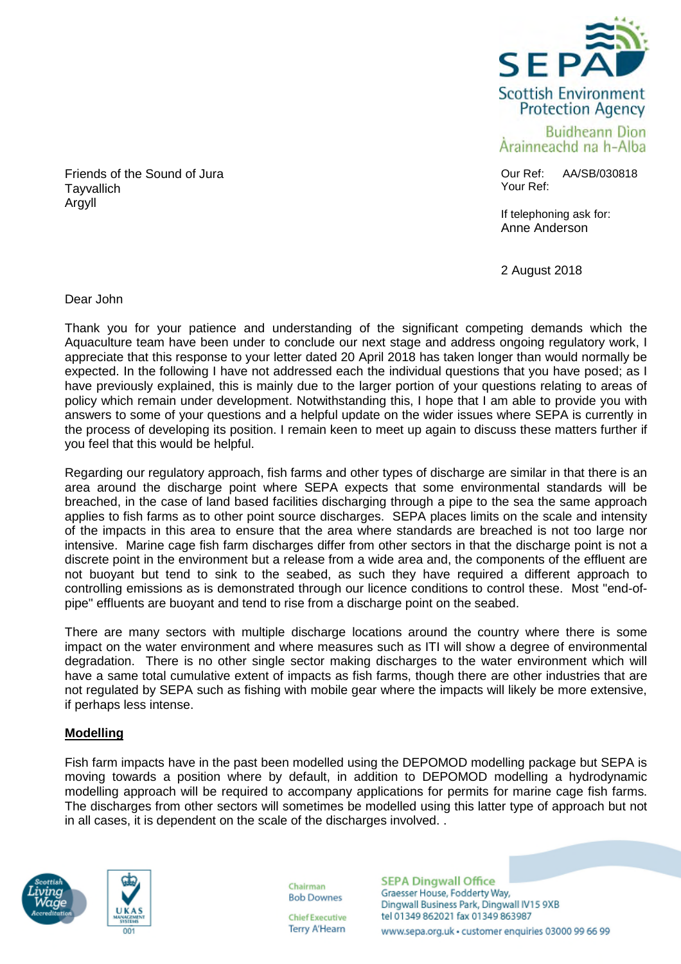

**Buidheann Dion** Arainneachd na h-Alba

Our Ref: AA/SB/030818 Your Ref:

If telephoning ask for: Anne Anderson

2 August 2018

Friends of the Sound of Jura **Tayvallich** Argyll

Dear John

Thank you for your patience and understanding of the significant competing demands which the Aquaculture team have been under to conclude our next stage and address ongoing regulatory work, I appreciate that this response to your letter dated 20 April 2018 has taken longer than would normally be expected. In the following I have not addressed each the individual questions that you have posed; as I have previously explained, this is mainly due to the larger portion of your questions relating to areas of policy which remain under development. Notwithstanding this, I hope that I am able to provide you with answers to some of your questions and a helpful update on the wider issues where SEPA is currently in the process of developing its position. I remain keen to meet up again to discuss these matters further if you feel that this would be helpful.

Regarding our regulatory approach, fish farms and other types of discharge are similar in that there is an area around the discharge point where SEPA expects that some environmental standards will be breached, in the case of land based facilities discharging through a pipe to the sea the same approach applies to fish farms as to other point source discharges. SEPA places limits on the scale and intensity of the impacts in this area to ensure that the area where standards are breached is not too large nor intensive. Marine cage fish farm discharges differ from other sectors in that the discharge point is not a discrete point in the environment but a release from a wide area and, the components of the effluent are not buoyant but tend to sink to the seabed, as such they have required a different approach to controlling emissions as is demonstrated through our licence conditions to control these. Most "end-ofpipe" effluents are buoyant and tend to rise from a discharge point on the seabed.

There are many sectors with multiple discharge locations around the country where there is some impact on the water environment and where measures such as ITI will show a degree of environmental degradation. There is no other single sector making discharges to the water environment which will have a same total cumulative extent of impacts as fish farms, though there are other industries that are not regulated by SEPA such as fishing with mobile gear where the impacts will likely be more extensive, if perhaps less intense.

# **Modelling**

Fish farm impacts have in the past been modelled using the DEPOMOD modelling package but SEPA is moving towards a position where by default, in addition to DEPOMOD modelling a hydrodynamic modelling approach will be required to accompany applications for permits for marine cage fish farms. The discharges from other sectors will sometimes be modelled using this latter type of approach but not in all cases, it is dependent on the scale of the discharges involved. .





Chairman **Bob Downes** 

**Chief Executive Terry A'Hearn**  **SEPA Dingwall Office** Graesser House, Fodderty Way, Dingwall Business Park, Dingwall IV15 9XB tel 01349 862021 fax 01349 863987 www.sepa.org.uk · customer enquiries 03000 99 66 99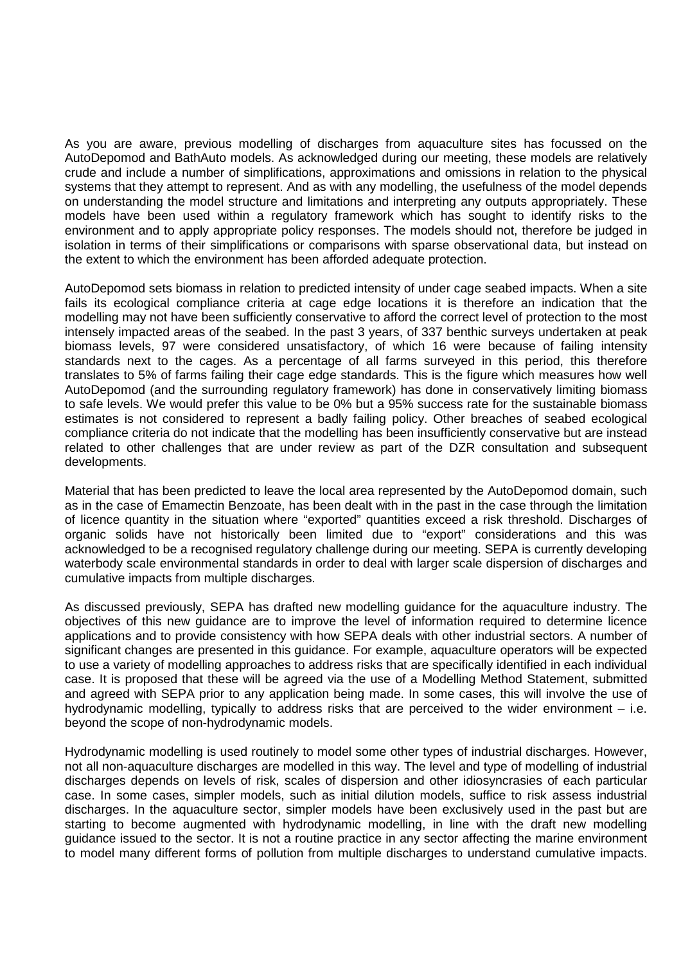As you are aware, previous modelling of discharges from aquaculture sites has focussed on the AutoDepomod and BathAuto models. As acknowledged during our meeting, these models are relatively crude and include a number of simplifications, approximations and omissions in relation to the physical systems that they attempt to represent. And as with any modelling, the usefulness of the model depends on understanding the model structure and limitations and interpreting any outputs appropriately. These models have been used within a regulatory framework which has sought to identify risks to the environment and to apply appropriate policy responses. The models should not, therefore be judged in isolation in terms of their simplifications or comparisons with sparse observational data, but instead on the extent to which the environment has been afforded adequate protection.

AutoDepomod sets biomass in relation to predicted intensity of under cage seabed impacts. When a site fails its ecological compliance criteria at cage edge locations it is therefore an indication that the modelling may not have been sufficiently conservative to afford the correct level of protection to the most intensely impacted areas of the seabed. In the past 3 years, of 337 benthic surveys undertaken at peak biomass levels, 97 were considered unsatisfactory, of which 16 were because of failing intensity standards next to the cages. As a percentage of all farms surveyed in this period, this therefore translates to 5% of farms failing their cage edge standards. This is the figure which measures how well AutoDepomod (and the surrounding regulatory framework) has done in conservatively limiting biomass to safe levels. We would prefer this value to be 0% but a 95% success rate for the sustainable biomass estimates is not considered to represent a badly failing policy. Other breaches of seabed ecological compliance criteria do not indicate that the modelling has been insufficiently conservative but are instead related to other challenges that are under review as part of the DZR consultation and subsequent developments.

Material that has been predicted to leave the local area represented by the AutoDepomod domain, such as in the case of Emamectin Benzoate, has been dealt with in the past in the case through the limitation of licence quantity in the situation where "exported" quantities exceed a risk threshold. Discharges of organic solids have not historically been limited due to "export" considerations and this was acknowledged to be a recognised regulatory challenge during our meeting. SEPA is currently developing waterbody scale environmental standards in order to deal with larger scale dispersion of discharges and cumulative impacts from multiple discharges.

As discussed previously, SEPA has drafted new modelling guidance for the aquaculture industry. The objectives of this new guidance are to improve the level of information required to determine licence applications and to provide consistency with how SEPA deals with other industrial sectors. A number of significant changes are presented in this guidance. For example, aquaculture operators will be expected to use a variety of modelling approaches to address risks that are specifically identified in each individual case. It is proposed that these will be agreed via the use of a Modelling Method Statement, submitted and agreed with SEPA prior to any application being made. In some cases, this will involve the use of hydrodynamic modelling, typically to address risks that are perceived to the wider environment – i.e. beyond the scope of non-hydrodynamic models.

Hydrodynamic modelling is used routinely to model some other types of industrial discharges. However, not all non-aquaculture discharges are modelled in this way. The level and type of modelling of industrial discharges depends on levels of risk, scales of dispersion and other idiosyncrasies of each particular case. In some cases, simpler models, such as initial dilution models, suffice to risk assess industrial discharges. In the aquaculture sector, simpler models have been exclusively used in the past but are starting to become augmented with hydrodynamic modelling, in line with the draft new modelling guidance issued to the sector. It is not a routine practice in any sector affecting the marine environment to model many different forms of pollution from multiple discharges to understand cumulative impacts.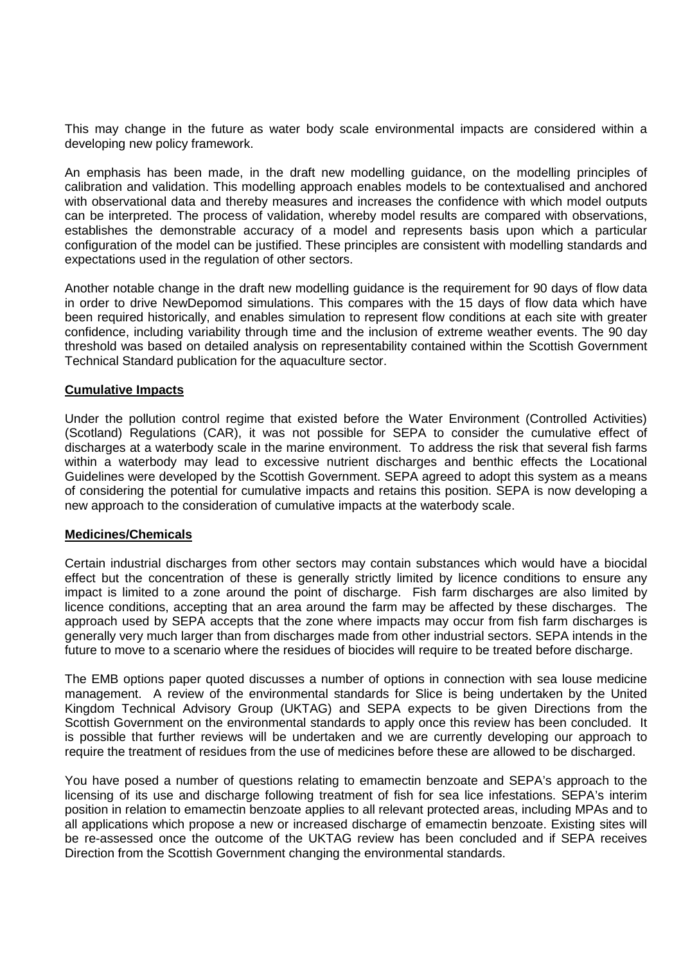This may change in the future as water body scale environmental impacts are considered within a developing new policy framework.

An emphasis has been made, in the draft new modelling guidance, on the modelling principles of calibration and validation. This modelling approach enables models to be contextualised and anchored with observational data and thereby measures and increases the confidence with which model outputs can be interpreted. The process of validation, whereby model results are compared with observations, establishes the demonstrable accuracy of a model and represents basis upon which a particular configuration of the model can be justified. These principles are consistent with modelling standards and expectations used in the regulation of other sectors.

Another notable change in the draft new modelling guidance is the requirement for 90 days of flow data in order to drive NewDepomod simulations. This compares with the 15 days of flow data which have been required historically, and enables simulation to represent flow conditions at each site with greater confidence, including variability through time and the inclusion of extreme weather events. The 90 day threshold was based on detailed analysis on representability contained within the Scottish Government Technical Standard publication for the aquaculture sector.

## **Cumulative Impacts**

Under the pollution control regime that existed before the Water Environment (Controlled Activities) (Scotland) Regulations (CAR), it was not possible for SEPA to consider the cumulative effect of discharges at a waterbody scale in the marine environment. To address the risk that several fish farms within a waterbody may lead to excessive nutrient discharges and benthic effects the Locational Guidelines were developed by the Scottish Government. SEPA agreed to adopt this system as a means of considering the potential for cumulative impacts and retains this position. SEPA is now developing a new approach to the consideration of cumulative impacts at the waterbody scale.

## **Medicines/Chemicals**

Certain industrial discharges from other sectors may contain substances which would have a biocidal effect but the concentration of these is generally strictly limited by licence conditions to ensure any impact is limited to a zone around the point of discharge. Fish farm discharges are also limited by licence conditions, accepting that an area around the farm may be affected by these discharges. The approach used by SEPA accepts that the zone where impacts may occur from fish farm discharges is generally very much larger than from discharges made from other industrial sectors. SEPA intends in the future to move to a scenario where the residues of biocides will require to be treated before discharge.

The EMB options paper quoted discusses a number of options in connection with sea louse medicine management. A review of the environmental standards for Slice is being undertaken by the United Kingdom Technical Advisory Group (UKTAG) and SEPA expects to be given Directions from the Scottish Government on the environmental standards to apply once this review has been concluded. It is possible that further reviews will be undertaken and we are currently developing our approach to require the treatment of residues from the use of medicines before these are allowed to be discharged.

You have posed a number of questions relating to emamectin benzoate and SEPA's approach to the licensing of its use and discharge following treatment of fish for sea lice infestations. SEPA's interim position in relation to emamectin benzoate applies to all relevant protected areas, including MPAs and to all applications which propose a new or increased discharge of emamectin benzoate. Existing sites will be re-assessed once the outcome of the UKTAG review has been concluded and if SEPA receives Direction from the Scottish Government changing the environmental standards.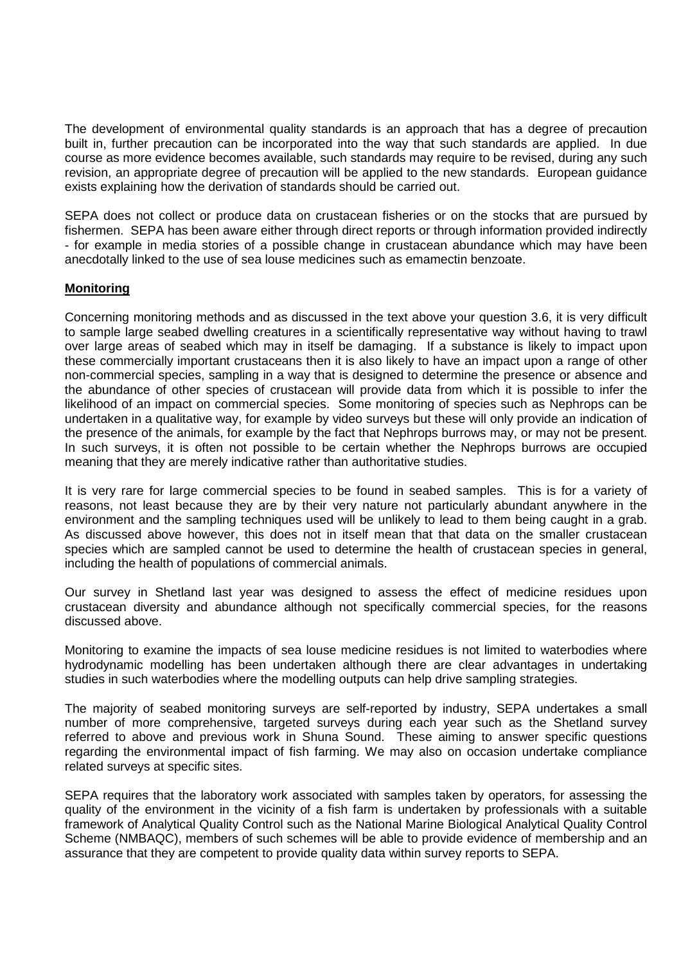The development of environmental quality standards is an approach that has a degree of precaution built in, further precaution can be incorporated into the way that such standards are applied. In due course as more evidence becomes available, such standards may require to be revised, during any such revision, an appropriate degree of precaution will be applied to the new standards. European guidance exists explaining how the derivation of standards should be carried out.

SEPA does not collect or produce data on crustacean fisheries or on the stocks that are pursued by fishermen. SEPA has been aware either through direct reports or through information provided indirectly - for example in media stories of a possible change in crustacean abundance which may have been anecdotally linked to the use of sea louse medicines such as emamectin benzoate.

## **Monitoring**

Concerning monitoring methods and as discussed in the text above your question 3.6, it is very difficult to sample large seabed dwelling creatures in a scientifically representative way without having to trawl over large areas of seabed which may in itself be damaging. If a substance is likely to impact upon these commercially important crustaceans then it is also likely to have an impact upon a range of other non-commercial species, sampling in a way that is designed to determine the presence or absence and the abundance of other species of crustacean will provide data from which it is possible to infer the likelihood of an impact on commercial species. Some monitoring of species such as Nephrops can be undertaken in a qualitative way, for example by video surveys but these will only provide an indication of the presence of the animals, for example by the fact that Nephrops burrows may, or may not be present. In such surveys, it is often not possible to be certain whether the Nephrops burrows are occupied meaning that they are merely indicative rather than authoritative studies.

It is very rare for large commercial species to be found in seabed samples. This is for a variety of reasons, not least because they are by their very nature not particularly abundant anywhere in the environment and the sampling techniques used will be unlikely to lead to them being caught in a grab. As discussed above however, this does not in itself mean that that data on the smaller crustacean species which are sampled cannot be used to determine the health of crustacean species in general, including the health of populations of commercial animals.

Our survey in Shetland last year was designed to assess the effect of medicine residues upon crustacean diversity and abundance although not specifically commercial species, for the reasons discussed above.

Monitoring to examine the impacts of sea louse medicine residues is not limited to waterbodies where hydrodynamic modelling has been undertaken although there are clear advantages in undertaking studies in such waterbodies where the modelling outputs can help drive sampling strategies.

The majority of seabed monitoring surveys are self-reported by industry, SEPA undertakes a small number of more comprehensive, targeted surveys during each year such as the Shetland survey referred to above and previous work in Shuna Sound. These aiming to answer specific questions regarding the environmental impact of fish farming. We may also on occasion undertake compliance related surveys at specific sites.

SEPA requires that the laboratory work associated with samples taken by operators, for assessing the quality of the environment in the vicinity of a fish farm is undertaken by professionals with a suitable framework of Analytical Quality Control such as the National Marine Biological Analytical Quality Control Scheme (NMBAQC), members of such schemes will be able to provide evidence of membership and an assurance that they are competent to provide quality data within survey reports to SEPA.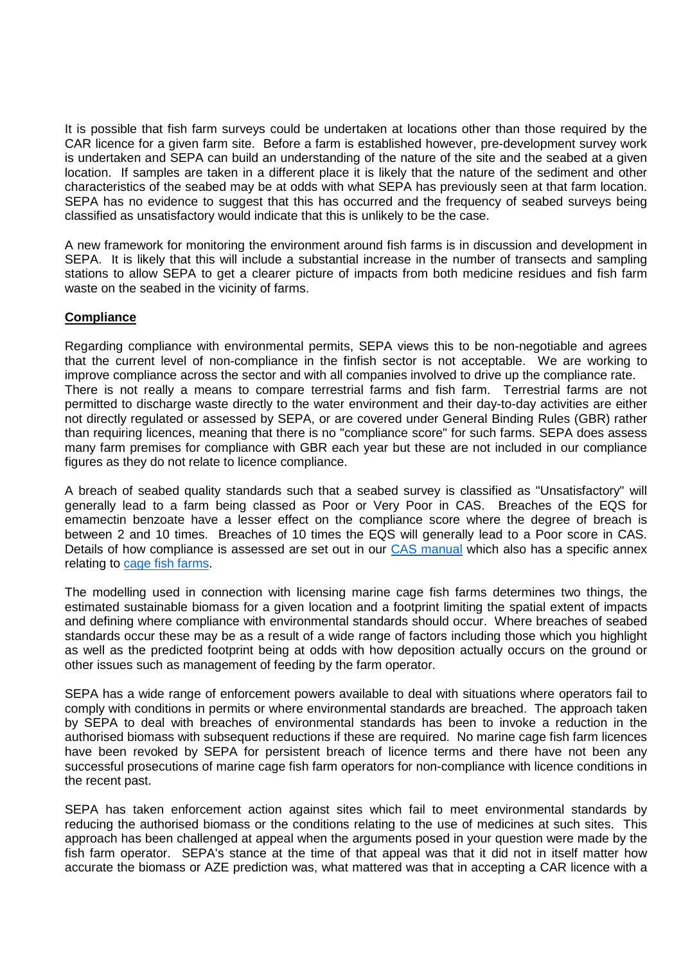It is possible that fish farm surveys could be undertaken at locations other than those required by the CAR licence for a given farm site. Before a farm is established however, pre-development survey work is undertaken and SEPA can build an understanding of the nature of the site and the seabed at a given location. If samples are taken in a different place it is likely that the nature of the sediment and other characteristics of the seabed may be at odds with what SEPA has previously seen at that farm location. SEPA has no evidence to suggest that this has occurred and the frequency of seabed surveys being classified as unsatisfactory would indicate that this is unlikely to be the case.

A new framework for monitoring the environment around fish farms is in discussion and development in SEPA. It is likely that this will include a substantial increase in the number of transects and sampling stations to allow SEPA to get a clearer picture of impacts from both medicine residues and fish farm waste on the seabed in the vicinity of farms.

## **Compliance**

Regarding compliance with environmental permits, SEPA views this to be non-negotiable and agrees that the current level of non-compliance in the finfish sector is not acceptable. We are working to improve compliance across the sector and with all companies involved to drive up the compliance rate. There is not really a means to compare terrestrial farms and fish farm. Terrestrial farms are not permitted to discharge waste directly to the water environment and their day-to-day activities are either not directly regulated or assessed by SEPA, or are covered under General Binding Rules (GBR) rather than requiring licences, meaning that there is no "compliance score" for such farms. SEPA does assess many farm premises for compliance with GBR each year but these are not included in our compliance figures as they do not relate to licence compliance.

A breach of seabed quality standards such that a seabed survey is classified as "Unsatisfactory" will generally lead to a farm being classed as Poor or Very Poor in CAS. Breaches of the EQS for emamectin benzoate have a lesser effect on the compliance score where the degree of breach is between 2 and 10 times. Breaches of 10 times the EQS will generally lead to a Poor score in CAS. Details of how compliance is assessed are set out in our CAS manual which also has a specific annex relating to cage fish farms.

The modelling used in connection with licensing marine cage fish farms determines two things, the estimated sustainable biomass for a given location and a footprint limiting the spatial extent of impacts and defining where compliance with environmental standards should occur. Where breaches of seabed standards occur these may be as a result of a wide range of factors including those which you highlight as well as the predicted footprint being at odds with how deposition actually occurs on the ground or other issues such as management of feeding by the farm operator.

SEPA has a wide range of enforcement powers available to deal with situations where operators fail to comply with conditions in permits or where environmental standards are breached. The approach taken by SEPA to deal with breaches of environmental standards has been to invoke a reduction in the authorised biomass with subsequent reductions if these are required. No marine cage fish farm licences have been revoked by SEPA for persistent breach of licence terms and there have not been any successful prosecutions of marine cage fish farm operators for non-compliance with licence conditions in the recent past.

SEPA has taken enforcement action against sites which fail to meet environmental standards by reducing the authorised biomass or the conditions relating to the use of medicines at such sites. This approach has been challenged at appeal when the arguments posed in your question were made by the fish farm operator. SEPA's stance at the time of that appeal was that it did not in itself matter how accurate the biomass or AZE prediction was, what mattered was that in accepting a CAR licence with a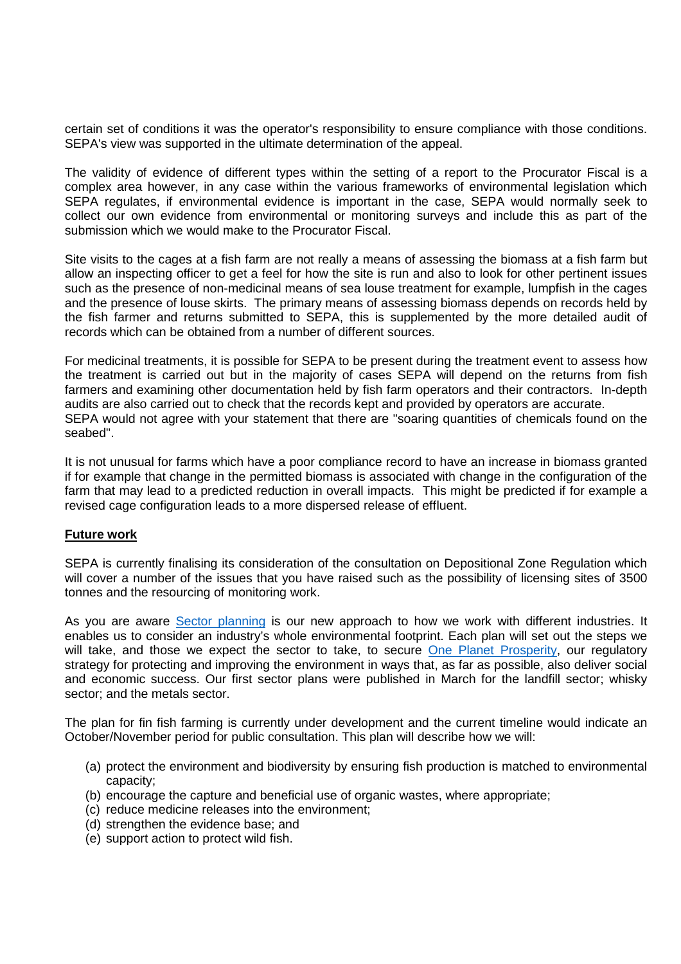certain set of conditions it was the operator's responsibility to ensure compliance with those conditions. SEPA's view was supported in the ultimate determination of the appeal.

The validity of evidence of different types within the setting of a report to the Procurator Fiscal is a complex area however, in any case within the various frameworks of environmental legislation which SEPA regulates, if environmental evidence is important in the case, SEPA would normally seek to collect our own evidence from environmental or monitoring surveys and include this as part of the submission which we would make to the Procurator Fiscal.

Site visits to the cages at a fish farm are not really a means of assessing the biomass at a fish farm but allow an inspecting officer to get a feel for how the site is run and also to look for other pertinent issues such as the presence of non-medicinal means of sea louse treatment for example, lumpfish in the cages and the presence of louse skirts. The primary means of assessing biomass depends on records held by the fish farmer and returns submitted to SEPA, this is supplemented by the more detailed audit of records which can be obtained from a number of different sources.

For medicinal treatments, it is possible for SEPA to be present during the treatment event to assess how the treatment is carried out but in the majority of cases SEPA will depend on the returns from fish farmers and examining other documentation held by fish farm operators and their contractors. In-depth audits are also carried out to check that the records kept and provided by operators are accurate. SEPA would not agree with your statement that there are "soaring quantities of chemicals found on the seabed".

It is not unusual for farms which have a poor compliance record to have an increase in biomass granted if for example that change in the permitted biomass is associated with change in the configuration of the farm that may lead to a predicted reduction in overall impacts. This might be predicted if for example a revised cage configuration leads to a more dispersed release of effluent.

## **Future work**

SEPA is currently finalising its consideration of the consultation on Depositional Zone Regulation which will cover a number of the issues that you have raised such as the possibility of licensing sites of 3500 tonnes and the resourcing of monitoring work.

As you are aware Sector planning is our new approach to how we work with different industries. It enables us to consider an industry's whole environmental footprint. Each plan will set out the steps we will take, and those we expect the sector to take, to secure One Planet Prosperity, our regulatory strategy for protecting and improving the environment in ways that, as far as possible, also deliver social and economic success. Our first sector plans were published in March for the landfill sector; whisky sector; and the metals sector.

The plan for fin fish farming is currently under development and the current timeline would indicate an October/November period for public consultation. This plan will describe how we will:

- (a) protect the environment and biodiversity by ensuring fish production is matched to environmental capacity;
- (b) encourage the capture and beneficial use of organic wastes, where appropriate;
- (c) reduce medicine releases into the environment;
- (d) strengthen the evidence base; and
- (e) support action to protect wild fish.